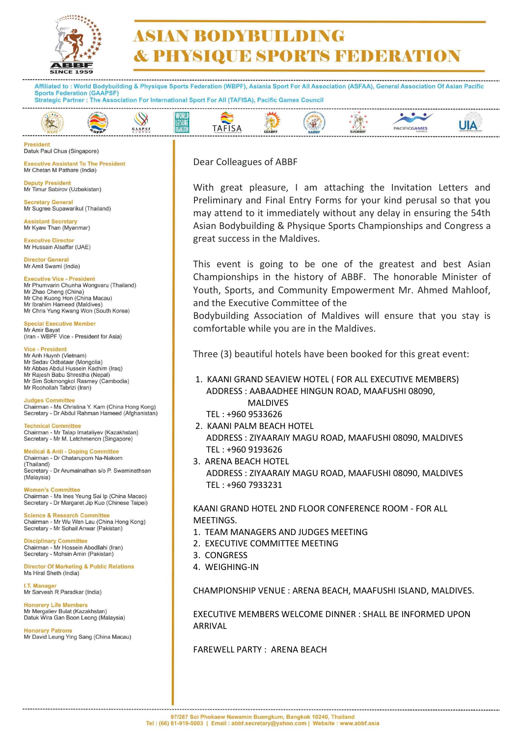

# **ASIAN RODYBUILDING & PHYSIQUE SPORTS FEDERATION**

Affiliated to: World Bodybuilding & Physique Sports Federation (WBPF), Asiania Sport For All Association (ASFAA), General Association Of Asian Pacific **Sports Federation (GAAPSF)** Strategic Partner : The Association For International Sport For All (TAFISA), Pacific Games Council

#### WORLI<br>LEISURI  $\bullet$  $\rightarrow$  $\heartsuit$  $87.5$ **UIA TAFISA** PACIFICGAMES GAAPSI

**Procident** Datuk Paul Chua (Singapore)

**Executive Assistant To The President** Mr Chetan M Pathare (India)

**Deputy President** Mr Timur Sabirov (Uzbekistan)

**Secretary General** Mr Sugree Supawarikul (Thailand)

**Assistant Secretary** Mr Kyaw Than (Myanmar)

**Executive Director** Mr Hussain Alsaffar (UAE)

Director General Mr Amit Swami (India)

**Executive Vice - President** Mr Phumvarin Chunha Wongvaru (Thailand)

Mr Zhao Cheng (China)<br>Mr Zhao Cheng (China)<br>Mr Che Kuong Hon (China Macau) Mr Ibrahim Hameed (Maldives) Mr Chris Yung Kwang Won (South Korea)

**Special Executive Member Mr Amir Bayat** (Iran - WBPF Vice - President for Asia)

Vice - President

Mr Anh Huynh (Vietnam)<br>Mr Sedav Odbataar (Mongolia) Mr Abbas Abdul Hussein Kadhim (Iraq) Mr Raiesh Babu Shrestha (Nepal) Mr Sim Sokmongkol Rasmey (Cambodia) Mr Roohollah Tabrizi (Iran)

**Judges Committee** Chairman - Ms Christina Y. Kam (China Hong Kong)<br>Secretary - Dr Abdul Rahman Hameed (Afghanistan)

**Technical Committee** Chairman - Mr Talap Imataliyev (Kazakhstan) Secretary - Mr M. Letchmenon (Singapore)

Medical & Anti - Doping Committee<br>Chairman - Dr Chataruporn Na-Nakorn (Thailand) Secretary - Dr Arumainathan s/o P. Swaminathsan (Malaysia)

**Women's Committee** Chairman - Ms Ines Yeung Sai Ip (China Macao) Secretary - Dr Margaret Jip Kuo (Chinese Taipei)

Science & Research Committee<br>Chairman - Mr Wu Wan Lau (China Hong Kong) Secretary - Mr Sohail Anwar (Pakistan)

**Disciplinary Committee** Chairman - Mr Hossein Abodllahi (Iran) Secretary - Mohsin Amin (Pakistan)

**Director Of Marketing & Public Relations** Ms Hiral Sheth (India)

**I.T. Manage** Mr Sarvesh R Paradkar (India)

**Honorary Life Members** Mr Mergaliev Bulat (Kazakhstan) Datuk Wira Gan Boon Leong (Malaysia)

Honorary Patrons Mr David Leung Ying Sang (China Macau) Dear Colleagues of ABBF

With great pleasure, I am attaching the Invitation Letters and Preliminary and Final Entry Forms for your kind perusal so that you may attend to it immediately without any delay in ensuring the 54th Asian Bodybuilding & Physique Sports Championships and Congress a great success in the Maldives.

This event is going to be one of the greatest and best Asian Championships in the history of ABBF. The honorable Minister of Youth, Sports, and Community Empowerment Mr. Ahmed Mahloof, and the Executive Committee of the

Bodybuilding Association of Maldives will ensure that you stay is comfortable while you are in the Maldives.

Three (3) beautiful hotels have been booked for this great event:

1. KAANI GRAND SEAVIEW HOTEL ( FOR ALL EXECUTIVE MEMBERS) ADDRESS : AABAADHEE HINGUN ROAD, MAAFUSHI 08090, MALDIVES

TEL : +960 9533626

- 2. KAANI PALM BEACH HOTEL ADDRESS : ZIYAARAIY MAGU ROAD, MAAFUSHI 08090, MALDIVES TEL : +960 9193626
- 3. ARENA BEACH HOTEL

 ADDRESS : ZIYAARAIY MAGU ROAD, MAAFUSHI 08090, MALDIVES TEL : +960 7933231

#### KAANI GRAND HOTEL 2ND FLOOR CONFERENCE ROOM - FOR ALL MEETINGS.

- 1. TEAM MANAGERS AND JUDGES MEETING
- 2. EXECUTIVE COMMITTEE MEETING
- 3. CONGRESS
- 4. WEIGHING-IN

CHAMPIONSHIP VENUE : ARENA BEACH, MAAFUSHI ISLAND, MALDIVES.

EXECUTIVE MEMBERS WELCOME DINNER : SHALL BE INFORMED UPON ARRIVAL

FAREWELL PARTY : ARENA BEACH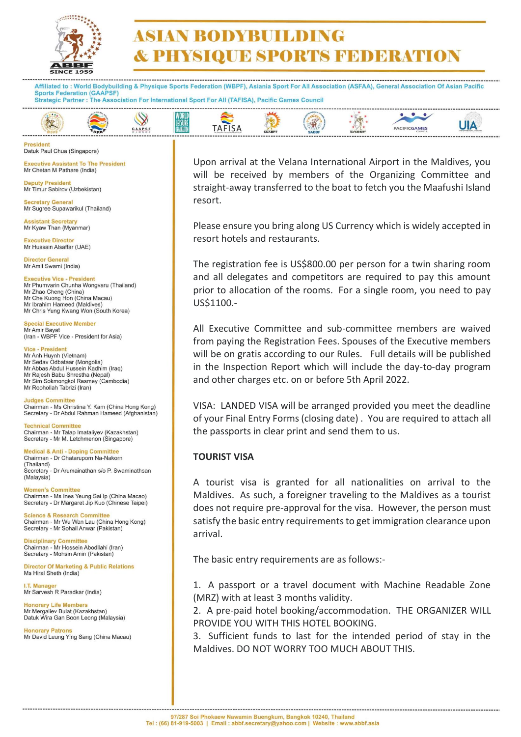

## **ASIAN RODYBUILDING & PHYSIQUE SPORTS FEDERATION**

Affiliated to: World Bodybuilding & Physique Sports Federation (WBPF), Asiania Sport For All Association (ASFAA), General Association Of Asian Pacific **Sports Federation (GAAPSF)** Strategic Partner : The Association For International Sport For All (TAFISA), Pacific Games Council



**Procident** Datuk Paul Chua (Singapore)

**Executive Assistant To The President** Mr Chetan M Pathare (India)

**Deputy President** Mr Timur Sabirov (Uzbekistan)

**Secretary General** Mr Sugree Supawarikul (Thailand)

**Assistant Secretary** Mr Kyaw Than (Myanmar)

**Executive Director** Mr Hussain Alsaffar (UAE)

Director General Mr Amit Swami (India)

**Executive Vice - President** Mr Phumvarin Chunha Wongvaru (Thailand) Mr Zhao Cheng (China) Mr Che Kuong Hon (China Macau) Mr Ibrahim Hameed (Maldives) Mr Chris Yung Kwang Won (South Korea)

**Special Executive Member Mr Amir Bayat** (Iran - WBPF Vice - President for Asia)

Vice - President

Mr Anh Huynh (Vietnam)<br>Mr Sedav Odbataar (Mongolia) Mr Abbas Abdul Hussein Kadhim (Iraq) Mr Raiesh Babu Shrestha (Nepal) Mr Sim Sokmongkol Rasmey (Cambodia) Mr Roohollah Tabrizi (Iran)

**Judges Committee** Chairman - Ms Christina Y. Kam (China Hong Kong) Secretary - Dr Abdul Rahman Hameed (Afghanistan)

**Technical Committee** Chairman - Mr Talap Imataliyev (Kazakhstan) Secretary - Mr M. Letchmenon (Singapore)

**Medical & Anti - Doping Committee** Chairman - Dr Chataruporn Na-Nakorn (Thailand) Secretary - Dr Arumainathan s/o P. Swaminathsan (Malaysia)

**Women's Committee** Chairman - Ms Ines Yeung Sai Ip (China Macao) Secretary - Dr Margaret Jip Kuo (Chinese Taipei)

**Science & Research Committee** Chairman - Mr Wu Wan Lau (China Hong Kong) Secretary - Mr Sohail Anwar (Pakistan)

**Disciplinary Committee** Chairman - Mr Hossein Abodllahi (Iran) Secretary - Mohsin Amin (Pakistan)

**Director Of Marketing & Public Relations** Ms Hiral Sheth (India)

I.T. Manage Mr Sarvesh R Paradkar (India)

Honorary Life Members Mr Mergaliev Bulat (Kazakhstan) Datuk Wira Gan Boon Leong (Malaysia)

Honorary Patrons Mr David Leung Ying Sang (China Macau) Upon arrival at the Velana International Airport in the Maldives, you will be received by members of the Organizing Committee and straight-away transferred to the boat to fetch you the Maafushi Island resort.

Please ensure you bring along US Currency which is widely accepted in resort hotels and restaurants.

The registration fee is US\$800.00 per person for a twin sharing room and all delegates and competitors are required to pay this amount prior to allocation of the rooms. For a single room, you need to pay US\$1100.-

All Executive Committee and sub-committee members are waived from paying the Registration Fees. Spouses of the Executive members will be on gratis according to our Rules. Full details will be published in the Inspection Report which will include the day-to-day program and other charges etc. on or before 5th April 2022.

VISA: LANDED VISA will be arranged provided you meet the deadline of your Final Entry Forms (closing date) . You are required to attach all the passports in clear print and send them to us.

#### **TOURIST VISA**

A tourist visa is granted for all nationalities on arrival to the Maldives. As such, a foreigner traveling to the Maldives as a tourist does not require pre-approval for the visa. However, the person must satisfy the basic entry requirements to get immigration clearance upon arrival.

The basic entry requirements are as follows:-

1. A passport or a travel document with Machine Readable Zone (MRZ) with at least 3 months validity.

2. A pre-paid hotel booking/accommodation. THE ORGANIZER WILL PROVIDE YOU WITH THIS HOTEL BOOKING.

3. Sufficient funds to last for the intended period of stay in the Maldives. DO NOT WORRY TOO MUCH ABOUT THIS.